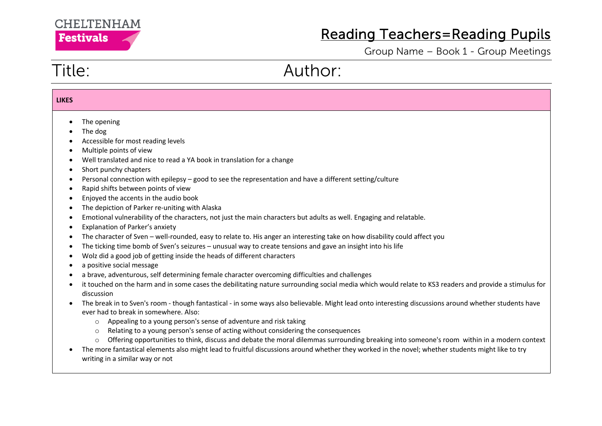

Group Name – Book 1 - Group Meetings

# Title: Author:

| <b>LIKES</b>                                                                            |                                                                                                                                                                                                                                                                                                                                                                                                                                                                                                                                                                                                                                                                                                                                                                                                                                                                                                                                                                                                                                                                                                                                                                                                                                                                                                                                                                                                                                                                                                                                                                                                                                                                                                                                                                                                                                                                                                                                |
|-----------------------------------------------------------------------------------------|--------------------------------------------------------------------------------------------------------------------------------------------------------------------------------------------------------------------------------------------------------------------------------------------------------------------------------------------------------------------------------------------------------------------------------------------------------------------------------------------------------------------------------------------------------------------------------------------------------------------------------------------------------------------------------------------------------------------------------------------------------------------------------------------------------------------------------------------------------------------------------------------------------------------------------------------------------------------------------------------------------------------------------------------------------------------------------------------------------------------------------------------------------------------------------------------------------------------------------------------------------------------------------------------------------------------------------------------------------------------------------------------------------------------------------------------------------------------------------------------------------------------------------------------------------------------------------------------------------------------------------------------------------------------------------------------------------------------------------------------------------------------------------------------------------------------------------------------------------------------------------------------------------------------------------|
| $\bullet$<br>$\bullet$<br>$\bullet$<br>$\bullet$<br>$\bullet$<br>$\bullet$<br>$\bullet$ | The opening<br>The dog<br>Accessible for most reading levels<br>Multiple points of view<br>Well translated and nice to read a YA book in translation for a change<br>Short punchy chapters<br>Personal connection with epilepsy - good to see the representation and have a different setting/culture<br>Rapid shifts between points of view<br>Enjoyed the accents in the audio book<br>The depiction of Parker re-uniting with Alaska<br>Emotional vulnerability of the characters, not just the main characters but adults as well. Engaging and relatable.<br>Explanation of Parker's anxiety<br>The character of Sven - well-rounded, easy to relate to. His anger an interesting take on how disability could affect you<br>The ticking time bomb of Sven's seizures - unusual way to create tensions and gave an insight into his life<br>Wolz did a good job of getting inside the heads of different characters<br>a positive social message<br>a brave, adventurous, self determining female character overcoming difficulties and challenges<br>it touched on the harm and in some cases the debilitating nature surrounding social media which would relate to KS3 readers and provide a stimulus for<br>discussion<br>The break in to Sven's room - though fantastical - in some ways also believable. Might lead onto interesting discussions around whether students have<br>ever had to break in somewhere. Also:<br>Appealing to a young person's sense of adventure and risk taking<br>$\circ$<br>Relating to a young person's sense of acting without considering the consequences<br>$\circ$<br>Offering opportunities to think, discuss and debate the moral dilemmas surrounding breaking into someone's room within in a modern context<br>$\circ$<br>The more fantastical elements also might lead to fruitful discussions around whether they worked in the novel; whether students might like to try |
|                                                                                         | writing in a similar way or not                                                                                                                                                                                                                                                                                                                                                                                                                                                                                                                                                                                                                                                                                                                                                                                                                                                                                                                                                                                                                                                                                                                                                                                                                                                                                                                                                                                                                                                                                                                                                                                                                                                                                                                                                                                                                                                                                                |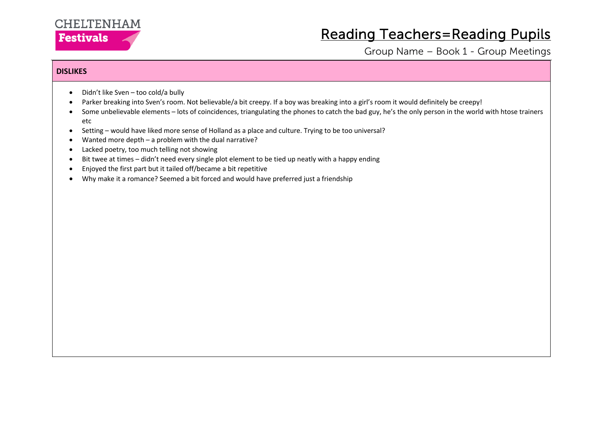### **CHELTENHAM Festivals**

### Reading Teachers=Reading Pupils

Group Name – Book 1 - Group Meetings

### **DISLIKES**

- Didn't like Sven too cold/a bully
- Parker breaking into Sven's room. Not believable/a bit creepy. If a boy was breaking into a girl's room it would definitely be creepy!
- Some unbelievable elements lots of coincidences, triangulating the phones to catch the bad guy, he's the only person in the world with htose trainers etc
- Setting would have liked more sense of Holland as a place and culture. Trying to be too universal?
- Wanted more depth  $-$  a problem with the dual narrative?
- Lacked poetry, too much telling not showing
- Bit twee at times didn't need every single plot element to be tied up neatly with a happy ending
- Enjoyed the first part but it tailed off/became a bit repetitive
- Why make it a romance? Seemed a bit forced and would have preferred just a friendship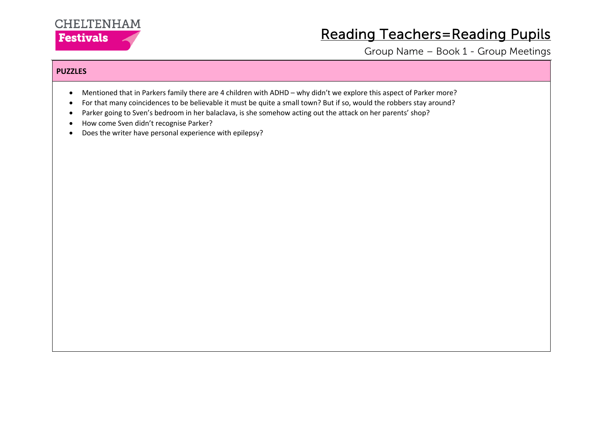

Group Name – Book 1 - Group Meetings

#### **PUZZLES**

- Mentioned that in Parkers family there are 4 children with ADHD why didn't we explore this aspect of Parker more?
- For that many coincidences to be believable it must be quite a small town? But if so, would the robbers stay around?
- Parker going to Sven's bedroom in her balaclava, is she somehow acting out the attack on her parents' shop?
- How come Sven didn't recognise Parker?
- Does the writer have personal experience with epilepsy?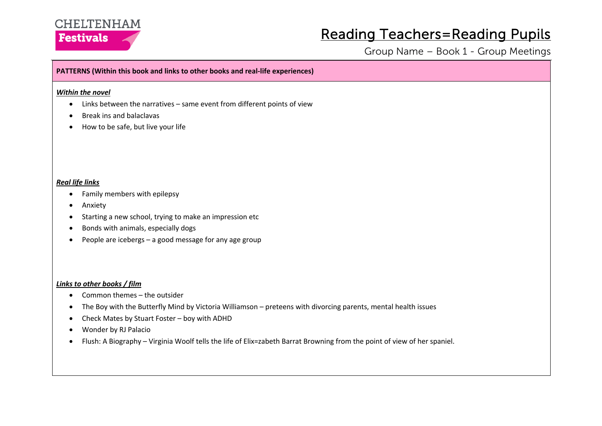

Group Name – Book 1 - Group Meetings

#### **PATTERNS (Within this book and links to other books and real-life experiences)**

#### *Within the novel*

- Links between the narratives same event from different points of view
- Break ins and balaclavas
- How to be safe, but live your life

#### *Real life links*

- Family members with epilepsy
- Anxiety
- Starting a new school, trying to make an impression etc
- Bonds with animals, especially dogs
- People are icebergs a good message for any age group

#### *Links to other books / film*

- Common themes the outsider
- The Boy with the Butterfly Mind by Victoria Williamson preteens with divorcing parents, mental health issues
- Check Mates by Stuart Foster boy with ADHD
- Wonder by RJ Palacio
- Flush: A Biography Virginia Woolf tells the life of Elix=zabeth Barrat Browning from the point of view of her spaniel.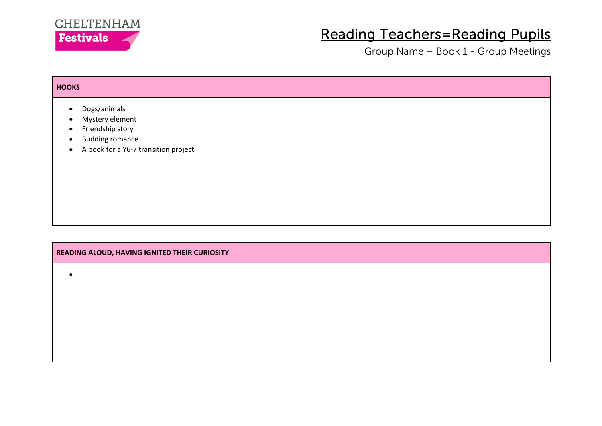

Group Name – Book 1 - Group Meetings

|                                                                                                                                                                                        | <b>HOOKS</b> |  |  |  |  |
|----------------------------------------------------------------------------------------------------------------------------------------------------------------------------------------|--------------|--|--|--|--|
| Dogs/animals<br>$\bullet$<br>Mystery element<br>$\bullet$<br>Friendship story<br>$\bullet$<br><b>Budding romance</b><br>$\bullet$<br>A book for a Y6-7 transition project<br>$\bullet$ |              |  |  |  |  |

#### **READING ALOUD, HAVING IGNITED THEIR CURIOSITY**

•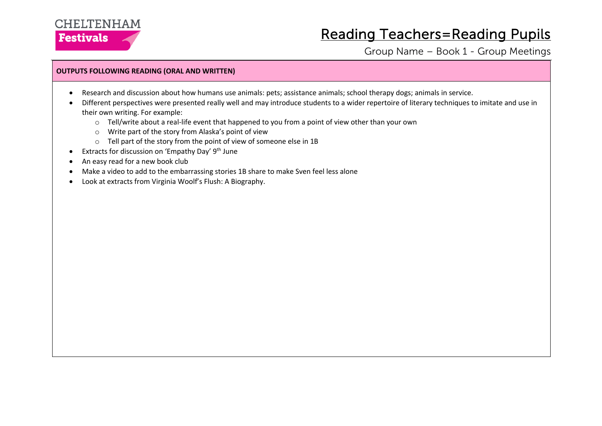

Group Name – Book 1 - Group Meetings

#### **OUTPUTS FOLLOWING READING (ORAL AND WRITTEN)**

- Research and discussion about how humans use animals: pets; assistance animals; school therapy dogs; animals in service.
- Different perspectives were presented really well and may introduce students to a wider repertoire of literary techniques to imitate and use in their own writing. For example:
	- $\circ$  Tell/write about a real-life event that happened to you from a point of view other than your own
	- o Write part of the story from Alaska's point of view
	- o Tell part of the story from the point of view of someone else in 1B
- **•** Extracts for discussion on 'Empathy Day'  $9<sup>th</sup>$  June
- An easy read for a new book club
- Make a video to add to the embarrassing stories 1B share to make Sven feel less alone
- Look at extracts from Virginia Woolf's Flush: A Biography.